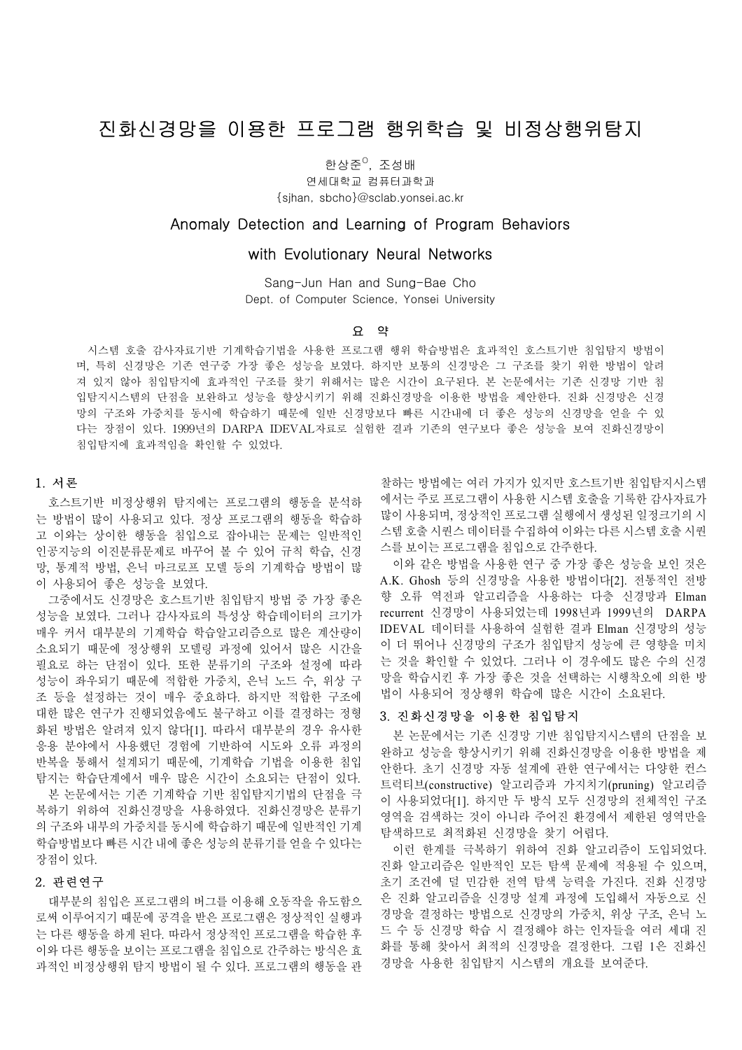# 진화신경망을 이용한 프로그램 행위학습 및 비정상행위탐지

한상준<sup>0</sup>, 조성배

연세대학교 컴퓨터과학과 {sjhan, sbcho}@sclab.yonsei.ac.kr

# Anomaly Detection and Learning of Program Behaviors

## with Evolutionary Neural Networks

Sang-Jun Han and Sung-Bae Cho Dept. of Computer Science, Yonsei University

#### 요 약

 시스템 호출 감사자료기반 기계학습기법을 사용한 프로그램 행위 학습방법은 효과적인 호스트기반 침입탐지 방법이 며, 특히 신경망은 기존 연구중 가장 좋은 성능을 보였다. 하지만 보통의 신경망은 그 구조를 찾기 위한 방법이 알려 져 있지 않아 침입탐지에 효과적인 구조를 찾기 위해서는 많은 시간이 요구된다. 본 논문에서는 기존 신경망 기반 침 입탐지시스템의 단점을 보완하고 성능을 향상시키기 위해 진화신경망을 이용한 방법을 제안한다. 진화 신경망은 신경 망의 구조와 가중치를 동시에 학습하기 때문에 일반 신경망보다 빠른 시간내에 더 좋은 성능의 신경망을 얻을 수 있 다는 장점이 있다. 1999년의 DARPA IDEVAL자료로 실험한 결과 기존의 연구보다 좋은 성능을 보여 진화신경망이 침입탐지에 효과적임을 확인할 수 있었다.

#### 1. 서론

호스트기반 비정상행위 탐지에는 프로그램의 행동을 분석하 는 방법이 많이 사용되고 있다. 정상 프로그램의 행동을 학습하 고 이와는 상이한 행동을 침입으로 잡아내는 문제는 일반적인 인공지능의 이진분류문제로 바꾸어 볼 수 있어 규칙 학습, 신경 망, 통계적 방법, 은닉 마크로프 모델 등의 기계학습 방법이 많 이 사용되어 좋은 성능을 보였다.

그중에서도 신경망은 호스트기반 침입탐지 방법 중 가장 좋은 성능을 보였다. 그러나 감사자료의 특성상 학습데이터의 크기가 매우 커서 대부분의 기계학습 학습알고리즘으로 많은 계산량이 소요되기 때문에 정상행위 모델링 과정에 있어서 많은 시간을 필요로 하는 단점이 있다. 또한 분류기의 구조와 설정에 따라 성능이 좌우되기 때문에 적합한 가중치, 은닉 노드 수, 위상 구 조 등을 설정하는 것이 매우 중요하다. 하지만 적합한 구조에 대한 많은 연구가 진행되었음에도 불구하고 이를 결정하는 정형 화된 방법은 알려져 있지 않다[1]. 따라서 대부분의 경우 유사한 응용 분야에서 사용했던 경험에 기반하여 시도와 오류 과정의 반복을 통해서 설계되기 때문에, 기계학습 기법을 이용한 침입 탐지는 학습단계에서 매우 많은 시간이 소요되는 단점이 있다.

본 논문에서는 기존 기계학습 기반 침입탐지기법의 단점을 극 복하기 위하여 진화신경망을 사용하였다. 진화신경망은 분류기 의 구조와 내부의 가중치를 동시에 학습하기 때문에 일반적인 기계 학습방법보다 빠른 시간 내에 좋은 성능의 분류기를 얻을 수 있다는 장점이 있다.

## 2. 관련연구

대부분의 침입은 프로그램의 버그를 이용해 오동작을 유도함으 로써 이루어지기 때문에 공격을 받은 프로그램은 정상적인 실행과 는 다른 행동을 하게 된다. 따라서 정상적인 프로그램을 학습한 후 이와 다른 행동을 보이는 프로그램을 침입으로 간주하는 방식은 효 과적인 비정상행위 탐지 방법이 될 수 있다. 프로그램의 행동을 관

찰하는 방법에는 여러 가지가 있지만 호스트기반 침입탐지시스템 에서는 주로 프로그램이 사용한 시스템 호출을 기록한 감사자료가 많이 사용되며, 정상적인 프로그램 실행에서 생성된 일정크기의 시 스템 호출 시퀀스 데이터를 수집하여 이와는 다른 시스템 호출 시퀀 스를 보이는 프로그램을 침입으로 간주한다.

이와 같은 방법을 사용한 연구 중 가장 좋은 성능을 보인 것은 A.K. Ghosh 등의 신경망을 사용한 방법이다[2]. 전통적인 전방 향 오류 역전파 알고리즘을 사용하는 다층 신경망과 Elman recurrent 신경망이 사용되었는데 1998년과 1999년의 DARPA IDEVAL 데이터를 사용하여 실험한 결과 Elman 신경망의 성능 이 더 뛰어나 신경망의 구조가 침입탐지 성능에 큰 영향을 미치 는 것을 확인할 수 있었다. 그러나 이 경우에도 많은 수의 신경 망을 학습시킨 후 가장 좋은 것을 선택하는 시행착오에 의한 방 법이 사용되어 정상행위 학습에 많은 시간이 소요된다.

## 3. 진화신경망을 이용한 침입탐지

본 논문에서는 기존 신경망 기반 침입탐지시스템의 단점을 보 완하고 성능을 향상시키기 위해 진화신경망을 이용한 방법을 제 안한다. 초기 신경망 자동 설계에 관한 연구에서는 다양한 컨스 트럭티브(constructive) 알고리즘과 가지치기(pruning) 알고리즘 이 사용되었다[1]. 하지만 두 방식 모두 신경망의 전체적인 구조 영역을 검색하는 것이 아니라 주어진 환경에서 제한된 영역만을 탐색하므로 최적화된 신경망을 찾기 어렵다.

이런 한계를 극복하기 위하여 진화 알고리즘이 도입되었다. 진화 알고리즘은 일반적인 모든 탐색 문제에 적용될 수 있으며, 초기 조건에 덜 민감한 전역 탐색 능력을 가진다. 진화 신경망 은 진화 알고리즘을 신경망 설계 과정에 도입해서 자동으로 신 경망을 결정하는 방법으로 신경망의 가중치, 위상 구조, 은닉 노 드 수 등 신경망 학습 시 결정해야 하는 인자들을 여러 세대 진 화를 통해 찾아서 최적의 신경망을 결정한다. 그림 1은 진화신 경망을 사용한 침입탐지 시스템의 개요를 보여준다.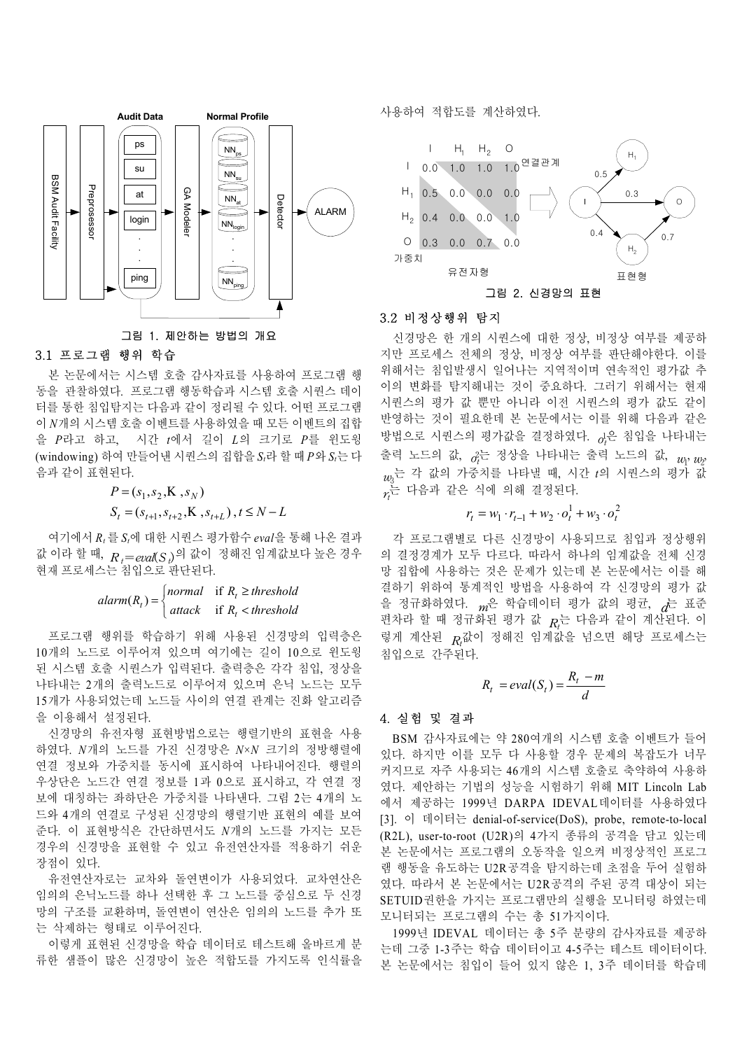

## 3.1 프로그램 행위 학습

본 논문에서는 시스템 호출 감사자료를 사용하여 프로그램 행 동을 관찰하였다. 프로그램 행동학습과 시스템 호출 시퀀스 데이 터를 통한 침입탐지는 다음과 같이 정리될 수 있다. 어떤 프로그램 이 *N*개의 시스템 호출 이벤트를 사용하였을 때 모든 이벤트의 집합 을 *P*라고 하고, 시간 *t*에서 길이 *L*의 크기로 *P*를 윈도윙 (windowing) 하여 만들어낸 시퀀스의 집합을 *St*라 할 때 *P*와 *St*는 다 음과 같이 표현된다.

$$
P = (s_1, s_2, \mathbf{K}, s_N)
$$
  
\n
$$
S_t = (s_{t+1}, s_{t+2}, \mathbf{K}, s_{t+L}), t \le N - L
$$

여기에서 *Rt* 를 *St*에 대한 시퀀스 평가함수 *eval*을 통해 나온 결과 값 이라 할 때, *<sup>R</sup> <sup>t</sup>*=*eval*(*<sup>S</sup> <sup>t</sup>*)의 값이 정해진 임계값보다 높은 경우 현재 프로세스는 침입으로 판단된다.

> $\overline{\mathfrak{c}}$  $\big\{$  $\frac{1}{2}$  $alarm(R_t) = \begin{cases} normal & \text{if } R_t \geq threshold \\ attack & \text{if } R_t < threshold \end{cases}$ *t*  $\tau(t) = \begin{cases}$  *normal* if  $R_t$ <br>attack if  $R_t$  $(R_t) = \begin{cases} normal & \text{if} \\ 0 & \text{if} \end{cases}$

프로그램 행위를 학습하기 위해 사용된 신경망의 입력층은 10개의 노드로 이루어져 있으며 여기에는 길이 10으로 윈도윙 된 시스템 호출 시퀀스가 입력된다. 출력층은 각각 침입, 정상을 나타내는 2개의 출력노드로 이루어져 있으며 은닉 노드는 모두 15개가 사용되었는데 노드들 사이의 연결 관계는 진화 알고리즘 을 이용해서 설정된다.

신경망의 유전자형 표현방법으로는 행렬기반의 표현을 사용 하였다. *N*개의 노드를 가진 신경망은 *N*×*N* 크기의 정방행렬에 연결 정보와 가중치를 동시에 표시하여 나타내어진다. 행렬의 우상단은 노드간 연결 정보를 1과 0으로 표시하고, 각 연결 정 보에 대칭하는 좌하단은 가중치를 나타낸다. 그림 2는 4개의 노 드와 4개의 연결로 구성된 신경망의 행렬기반 표현의 예를 보여 준다. 이 표현방식은 간단하면서도 *N*개의 노드를 가지는 모든 경우의 신경망을 표현할 수 있고 유전연산자를 적용하기 쉬운 장점이 있다.

유전연산자로는 교차와 돌연변이가 사용되었다. 교차연산은 임의의 은닉노드를 하나 선택한 후 그 노드를 중심으로 두 신경 망의 구조를 교환하며, 돌연변이 연산은 임의의 노드를 추가 또 는 삭제하는 형태로 이루어진다.

이렇게 표현된 신경망을 학습 데이터로 테스트해 올바르게 분 류한 샘플이 많은 신경망이 높은 적합도를 가지도록 인식률을 사용하여 적합도를 계산하였다.



#### 3.2 비정상행위 탐지

신경망은 한 개의 시퀀스에 대한 정상, 비정상 여부를 제공하 지만 프로세스 전체의 정상, 비정상 여부를 판단해야한다. 이를 위해서는 침입발생시 일어나는 지역적이며 연속적인 평가값 추 이의 변화를 탐지해내는 것이 중요하다. 그러기 위해서는 현재 시퀀스의 평가 값 뿐만 아니라 이전 시퀀스의 평가 값도 같이 반영하는 것이 필요한데 본 논문에서는 이를 위해 다음과 같은 방법으로 시퀀스의 평가값을 결정하였다. *o*<sup>1</sup> *t* 은 침입을 나타내는 출력 노드의 값,  $_{\theta_{t}^{2}}$ 는 정상을 나타내는 출력 노드의 값,  $_{u_{l^{\prime}}u_{l^{\prime}}}$ *w*3 는 각 값의 가중치를 나타낼 때, 시간 *t*의 시퀀스의 평가 값  $\gamma_t$ 는 다음과 같은 식에 의해 결정된다.

$$
r_{t} = w_{1} \cdot r_{t-1} + w_{2} \cdot o_{t}^{1} + w_{3} \cdot o_{t}^{2}
$$

각 프로그램별로 다른 신경망이 사용되므로 침입과 정상행위 의 결정경계가 모두 다르다. 따라서 하나의 임계값을 전체 신경 망 집합에 사용하는 것은 문제가 있는데 본 논문에서는 이를 해 결하기 위하여 통계적인 방법을 사용하여 각 신경망의 평가 값 을 정규화하였다. *<sup>m</sup>*은 학습데이터 평가 값의 평균, *d*는 표준 편차라 할 때 정규화된 평가 값  $R_t$ 는 다음과 같이 계산된다. 이 렇게 계산된  $_{R_{\ell}}$ 값이 정해진 임계값을 넘으면 해당 프로세스는 침입으로 간주된다.

$$
R_t = eval(S_t) = \frac{R_t - m}{d}
$$

## 4. 실험 및 결과

BSM 감사자료에는 약 280여개의 시스템 호출 이벤트가 들어 있다. 하지만 이를 모두 다 사용할 경우 문제의 복잡도가 너무 커지므로 자주 사용되는 46개의 시스템 호출로 축약하여 사용하 였다. 제안하는 기법의 성능을 시험하기 위해 MIT Lincoln Lab 에서 제공하는 1999년 DARPA IDEVAL데이터를 사용하였다 [3]. 이 데이터는 denial-of-service(DoS), probe, remote-to-local (R2L), user-to-root (U2R)의 4가지 종류의 공격을 담고 있는데 본 논문에서는 프로그램의 오동작을 일으켜 비정상적인 프로그 램 행동을 유도하는 U2R공격을 탐지하는데 초점을 두어 실험하 였다. 따라서 본 논문에서는 U2R공격의 주된 공격 대상이 되는 SETUID권한을 가지는 프로그램만의 실행을 모니터링 하였는데 모니터되는 프로그램의 수는 총 51가지이다.

1999년 IDEVAL 데이터는 총 5주 분량의 감사자료를 제공하 는데 그중 1-3주는 학습 데이터이고 4-5주는 테스트 데이터이다. 본 논문에서는 침입이 들어 있지 않은 1, 3주 데이터를 학습데